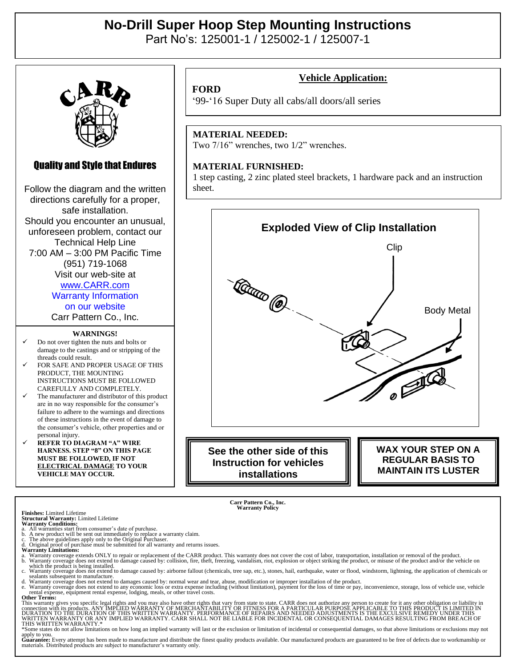## **No-Drill Super Hoop Step Mounting Instructions**

Part No's: 125001-1 / 125002-1 / 125007-1



### Quality and Style that Endures

Follow the diagram and the written directions carefully for a proper, safe installation. Should you encounter an unusual, unforeseen problem, contact our Technical Help Line 7:00 AM – 3:00 PM Pacific Time (951) 719-1068 Visit our web-site at [www.CARR.com](http://www.carr.com/)

Warranty Information on our website

Carr Pattern Co., Inc.

#### **WARNINGS!**

- ✓ Do not over tighten the nuts and bolts or damage to the castings and or stripping of the threads could result.
- FOR SAFE AND PROPER USAGE OF THIS PRODUCT, THE MOUNTING INSTRUCTIONS MUST BE FOLLOWED CAREFULLY AND COMPLETELY.
- The manufacturer and distributor of this product are in no way responsible for the consumer's failure to adhere to the warnings and directions of these instructions in the event of damage to the consumer's vehicle, other properties and or personal injury.
- ✓ **REFER TO DIAGRAM "A" WIRE HARNESS. STEP "8" ON THIS PAGE MUST BE FOLLOWED, IF NOT ELECTRICAL DAMAGE TO YOUR VEHICLE MAY OCCUR.**

### **Vehicle Application:**

#### **FORD**

'99-'16 Super Duty all cabs/all doors/all series

#### **MATERIAL NEEDED:**

Two 7/16" wrenches, two 1/2" wrenches.

#### **MATERIAL FURNISHED:**

1 step casting, 2 zinc plated steel brackets, 1 hardware pack and an instruction sheet.



**Instruction for vehicles installations**

**REGULAR BASIS TO MAINTAIN ITS LUSTER**

**Carr Pattern Co., Inc. Warranty Policy**

#### **Finishes:** Limited Lifetime

- **Structural Warranty:** Limited Lifetime **Warranty Conditions:** a. All warranties start from consumer's date of purchase.
- 

b. A new product will be sent out immediately to replace a warranty claim.<br>c. The above guidelines apply only to the Original Purchaser.<br>d. Original proof of purchase must be submitted for all warranty and returns issues.<br>

- a. Warranty coverage extends ONLY to repair or replacement of the CARR product. This warranty does not cover the cost of labor, transportation, installation or removal of the product.<br>b. Warranty coverage does not extend t
- which the product is being installed.<br>c. Warranty coverage does not extend to damage caused by: airborne fallout (chemicals, tree sap, etc.), stones, hail, earthquake, water or flood, windstorm, lightning, the application

sealants subsequent to manufacture.<br>A Warranty coverage does not extend to damages caused by: normal wear and tear, abuse, modification or improper installation of the product.<br>A Warranty coverage does not extend to any ec rental expense, equipment rental expense, lodging, meals, or other travel costs. **Other Terms:**

This warranty gives you specific legal rights and you may also have other rights that vary from state to state. CARR does not authorize any person to create for it any other obligation or liability in<br>connection with its p

apply to you.<br>Guarantee: Every attempt has been made to manufacture and distribute the finest quality products available. Our manufactured products are guaranteed to be free of defects due to workmanship or<br>materials. Dist